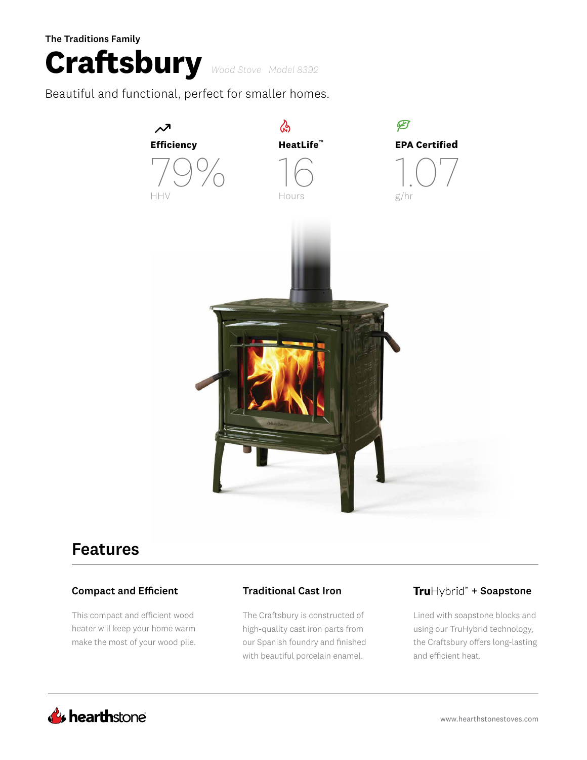### The Traditions Family



Beautiful and functional, perfect for smaller homes.



# Features

### Compact and Efficient Traditional Cast Iron

This compact and efficient wood heater will keep your home warm make the most of your wood pile.

The Craftsbury is constructed of high-quality cast iron parts from our Spanish foundry and finished with beautiful porcelain enamel.

### TruHybrid<sup>\*</sup> + Soapstone

Lined with soapstone blocks and using our TruHybrid technology, the Craftsbury offers long-lasting and efficient heat.